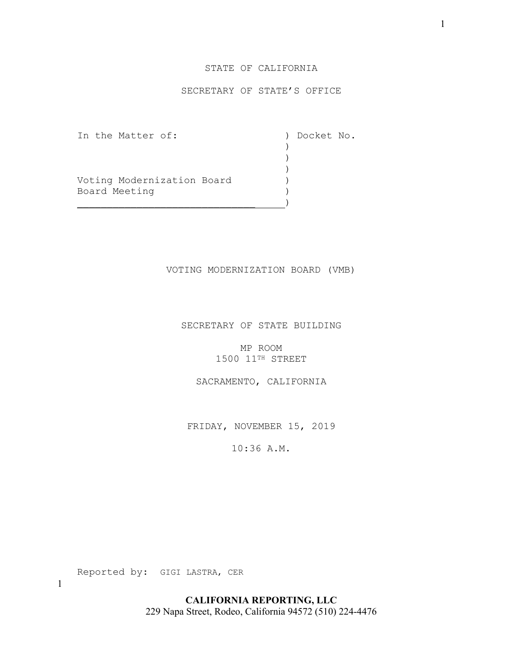## STATE OF CALIFORNIA

## SECRETARY OF STATE'S OFFICE

In the Matter of: ) Docket No.<br>
)

Voting Modernization Board (1997)<br>Board Meeting Board Meeting )

) and the contract of  $\mathcal{L}$ ) and the contract of  $\mathcal{L}$ ) and the contract of  $\mathcal{L}$ 

\_\_\_\_\_\_\_\_\_\_\_\_\_\_\_\_\_\_\_\_\_\_\_\_\_\_\_\_\_\_ )

#### VOTING MODERNIZATION BOARD (VMB)

SECRETARY OF STATE BUILDING

MP ROOM 1500 11TH STREET

SACRAMENTO, CALIFORNIA

FRIDAY, NOVEMBER 15, 2019

10:36 A.M.

Reported by: GIGI LASTRA, CER

**CALIFORNIA REPORTING, LLC** 229 Napa Street, Rodeo, California 94572 (510) 224-4476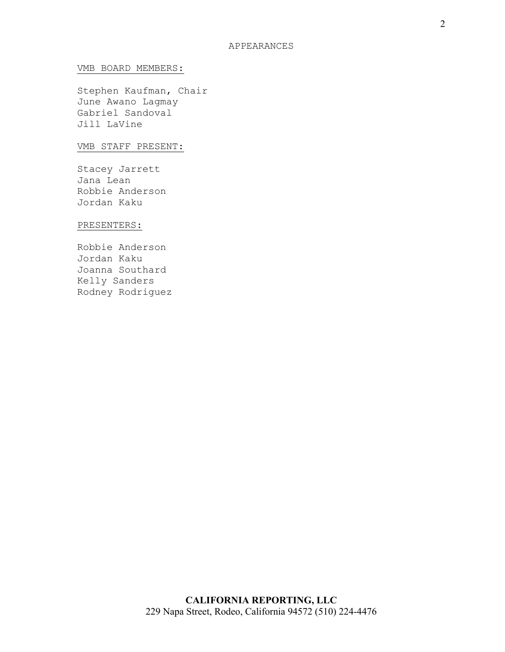#### VMB BOARD MEMBERS:

Stephen Kaufman, Chair June Awano Lagmay Gabriel Sandoval Jill LaVine

### VMB STAFF PRESENT:

Stacey Jarrett Jana Lean Robbie Anderson Jordan Kaku

### PRESENTERS:

Robbie Anderson Jordan Kaku Joanna Southard Kelly Sanders Rodney Rodriguez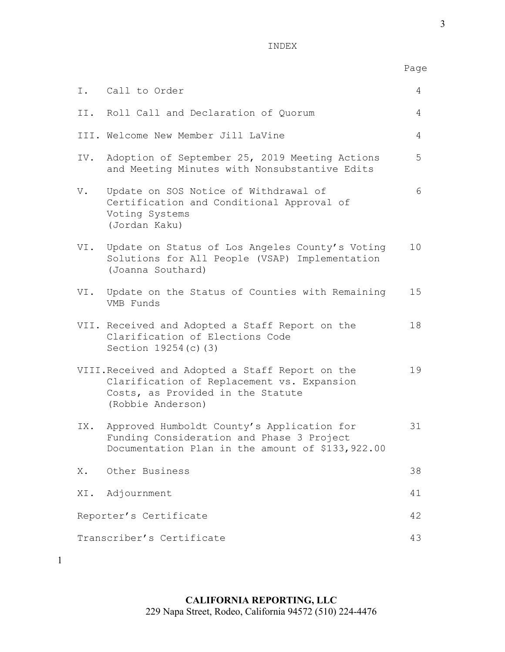INDEX

|                                 |                                                                                                                                                          | Page |
|---------------------------------|----------------------------------------------------------------------------------------------------------------------------------------------------------|------|
|                                 | I. Call to Order                                                                                                                                         | 4    |
|                                 | II. Roll Call and Declaration of Quorum                                                                                                                  | 4    |
|                                 | III. Welcome New Member Jill LaVine                                                                                                                      | 4    |
| IV.                             | Adoption of September 25, 2019 Meeting Actions<br>and Meeting Minutes with Nonsubstantive Edits                                                          | 5    |
| V.                              | Update on SOS Notice of Withdrawal of<br>Certification and Conditional Approval of<br>Voting Systems<br>(Jordan Kaku)                                    | 6    |
| VI.                             | Update on Status of Los Angeles County's Voting<br>Solutions for All People (VSAP) Implementation<br>(Joanna Southard)                                   | 10   |
| VI.                             | Update on the Status of Counties with Remaining<br>VMB Funds                                                                                             | 15   |
|                                 | VII. Received and Adopted a Staff Report on the<br>Clarification of Elections Code<br>Section 19254 (c) (3)                                              | 18   |
|                                 | VIII. Received and Adopted a Staff Report on the<br>Clarification of Replacement vs. Expansion<br>Costs, as Provided in the Statute<br>(Robbie Anderson) | 19   |
|                                 | IX. Approved Humboldt County's Application for<br>Funding Consideration and Phase 3 Project<br>Documentation Plan in the amount of \$133,922.00          | 31   |
| Х.                              | Other Business                                                                                                                                           | 38   |
|                                 | XI. Adjournment                                                                                                                                          | 41   |
| Reporter's Certificate          |                                                                                                                                                          | 42   |
| Transcriber's Certificate<br>43 |                                                                                                                                                          |      |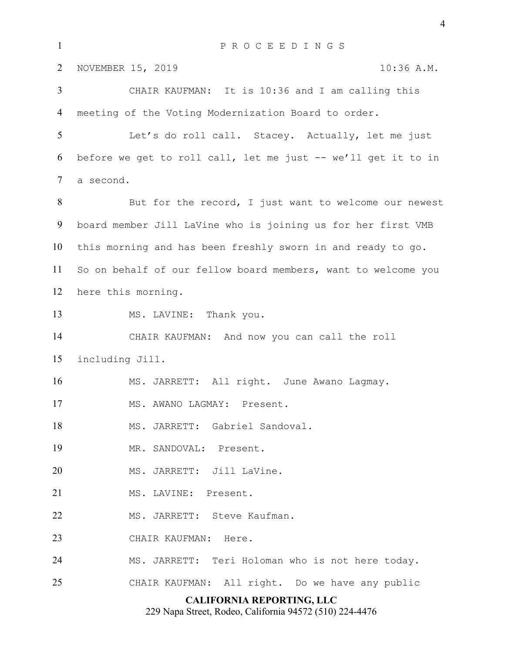**CALIFORNIA REPORTING, LLC** 229 Napa Street, Rodeo, California 94572 (510) 224-4476 P R O C E E D I N G S 2 NOVEMBER 15, 2019 10:36 A.M. CHAIR KAUFMAN: It is 10:36 and I am calling this meeting of the Voting Modernization Board to order. Let's do roll call. Stacey. Actually, let me just before we get to roll call, let me just -- we'll get it to in a second. 8 But for the record, I just want to welcome our newest board member Jill LaVine who is joining us for her first VMB this morning and has been freshly sworn in and ready to go. So on behalf of our fellow board members, want to welcome you here this morning. 13 MS. LAVINE: Thank you. CHAIR KAUFMAN: And now you can call the roll including Jill. MS. JARRETT: All right. June Awano Lagmay. MS. AWANO LAGMAY: Present. MS. JARRETT: Gabriel Sandoval. MR. SANDOVAL: Present. 20 MS. JARRETT: Jill LaVine. MS. LAVINE: Present. 22 MS. JARRETT: Steve Kaufman. CHAIR KAUFMAN: Here. MS. JARRETT: Teri Holoman who is not here today. CHAIR KAUFMAN: All right. Do we have any public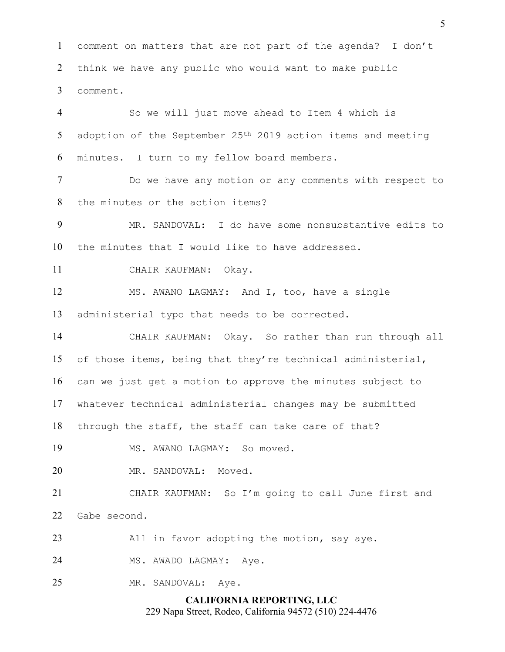comment on matters that are not part of the agenda? I don't think we have any public who would want to make public comment. So we will just move ahead to Item 4 which is 5 adoption of the September 25<sup>th</sup> 2019 action items and meeting minutes. I turn to my fellow board members. Do we have any motion or any comments with respect to the minutes or the action items? MR. SANDOVAL: I do have some nonsubstantive edits to the minutes that I would like to have addressed. CHAIR KAUFMAN: Okay. MS. AWANO LAGMAY: And I, too, have a single administerial typo that needs to be corrected. CHAIR KAUFMAN: Okay. So rather than run through all of those items, being that they're technical administerial, can we just get a motion to approve the minutes subject to whatever technical administerial changes may be submitted through the staff, the staff can take care of that?

MS. AWANO LAGMAY: So moved.

MR. SANDOVAL: Moved.

CHAIR KAUFMAN: So I'm going to call June first and Gabe second.

All in favor adopting the motion, say aye.

24 MS. AWADO LAGMAY: Aye.

MR. SANDOVAL: Aye.

**CALIFORNIA REPORTING, LLC** 229 Napa Street, Rodeo, California 94572 (510) 224-4476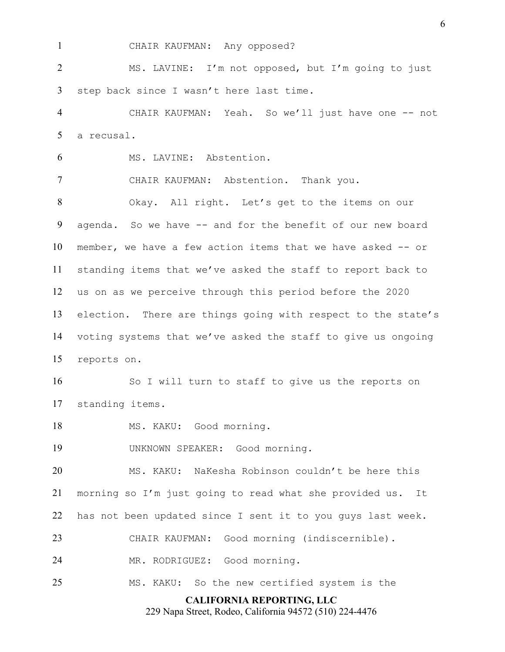CHAIR KAUFMAN: Any opposed?

MS. LAVINE: I'm not opposed, but I'm going to just step back since I wasn't here last time.

CHAIR KAUFMAN: Yeah. So we'll just have one -- not a recusal.

MS. LAVINE: Abstention.

CHAIR KAUFMAN: Abstention. Thank you.

Okay. All right. Let's get to the items on our agenda. So we have -- and for the benefit of our new board member, we have a few action items that we have asked -- or standing items that we've asked the staff to report back to us on as we perceive through this period before the 2020 election. There are things going with respect to the state's voting systems that we've asked the staff to give us ongoing reports on.

So I will turn to staff to give us the reports on standing items.

18 MS. KAKU: Good morning.

UNKNOWN SPEAKER: Good morning.

MS. KAKU: NaKesha Robinson couldn't be here this morning so I'm just going to read what she provided us. It has not been updated since I sent it to you guys last week.

CHAIR KAUFMAN: Good morning (indiscernible).

MR. RODRIGUEZ: Good morning.

MS. KAKU: So the new certified system is the

#### **CALIFORNIA REPORTING, LLC**

229 Napa Street, Rodeo, California 94572 (510) 224-4476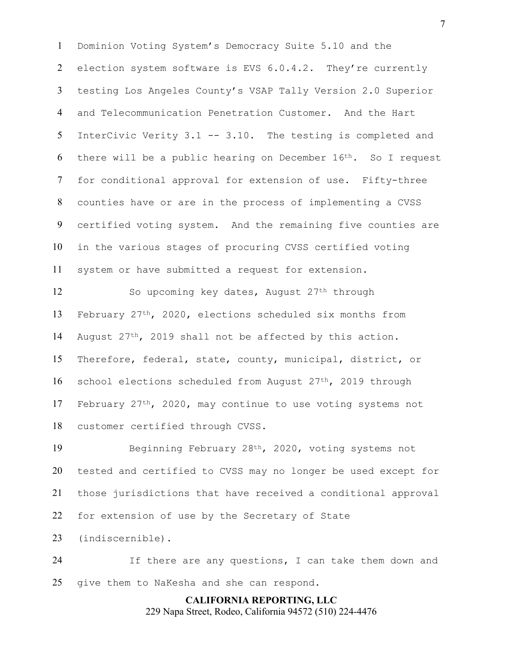Dominion Voting System's Democracy Suite 5.10 and the election system software is EVS 6.0.4.2. They're currently testing Los Angeles County's VSAP Tally Version 2.0 Superior and Telecommunication Penetration Customer. And the Hart InterCivic Verity 3.1 -- 3.10. The testing is completed and 6 there will be a public hearing on December  $16<sup>th</sup>$ . So I request for conditional approval for extension of use. Fifty-three counties have or are in the process of implementing a CVSS certified voting system. And the remaining five counties are in the various stages of procuring CVSS certified voting system or have submitted a request for extension.

12 So upcoming key dates, August 27<sup>th</sup> through February 27th, 2020, elections scheduled six months from 14 August  $27<sup>th</sup>$ , 2019 shall not be affected by this action. Therefore, federal, state, county, municipal, district, or school elections scheduled from August 27th, 2019 through 17 February 27<sup>th</sup>, 2020, may continue to use voting systems not customer certified through CVSS.

Beginning February 28th, 2020, voting systems not tested and certified to CVSS may no longer be used except for those jurisdictions that have received a conditional approval for extension of use by the Secretary of State

(indiscernible).

If there are any questions, I can take them down and give them to NaKesha and she can respond.

## **CALIFORNIA REPORTING, LLC**

229 Napa Street, Rodeo, California 94572 (510) 224-4476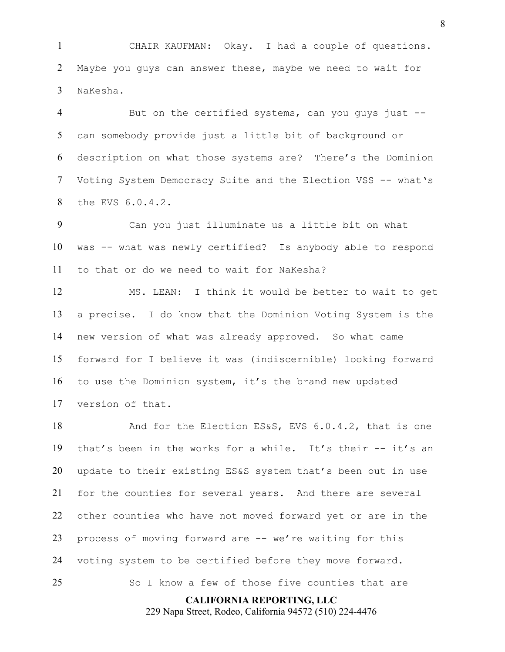CHAIR KAUFMAN: Okay. I had a couple of questions. Maybe you guys can answer these, maybe we need to wait for NaKesha.

4 But on the certified systems, can you guys just --can somebody provide just a little bit of background or description on what those systems are? There's the Dominion Voting System Democracy Suite and the Election VSS -- what's the EVS 6.0.4.2.

Can you just illuminate us a little bit on what was -- what was newly certified? Is anybody able to respond to that or do we need to wait for NaKesha?

MS. LEAN: I think it would be better to wait to get a precise. I do know that the Dominion Voting System is the new version of what was already approved. So what came forward for I believe it was (indiscernible) looking forward to use the Dominion system, it's the brand new updated version of that.

18 And for the Election ES&S, EVS 6.0.4.2, that is one that's been in the works for a while. It's their -- it's an update to their existing ES&S system that's been out in use for the counties for several years. And there are several other counties who have not moved forward yet or are in the 23 process of moving forward are -- we're waiting for this voting system to be certified before they move forward. So I know a few of those five counties that are

**CALIFORNIA REPORTING, LLC**

229 Napa Street, Rodeo, California 94572 (510) 224-4476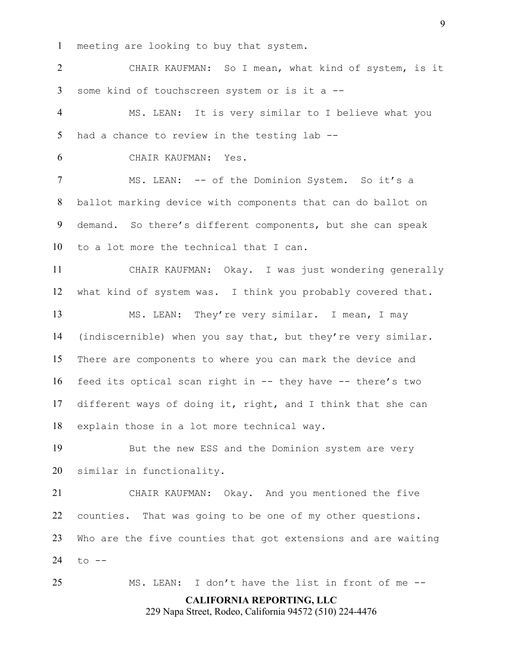meeting are looking to buy that system.

CHAIR KAUFMAN: So I mean, what kind of system, is it some kind of touchscreen system or is it a --

MS. LEAN: It is very similar to I believe what you had a chance to review in the testing lab --

CHAIR KAUFMAN: Yes.

MS. LEAN: -- of the Dominion System. So it's a ballot marking device with components that can do ballot on demand. So there's different components, but she can speak to a lot more the technical that I can.

CHAIR KAUFMAN: Okay. I was just wondering generally what kind of system was. I think you probably covered that.

MS. LEAN: They're very similar. I mean, I may (indiscernible) when you say that, but they're very similar. There are components to where you can mark the device and feed its optical scan right in -- they have -- there's two different ways of doing it, right, and I think that she can explain those in a lot more technical way.

But the new ESS and the Dominion system are very similar in functionality.

CHAIR KAUFMAN: Okay. And you mentioned the five counties. That was going to be one of my other questions. Who are the five counties that got extensions and are waiting to --

MS. LEAN: I don't have the list in front of me --

**CALIFORNIA REPORTING, LLC**

229 Napa Street, Rodeo, California 94572 (510) 224-4476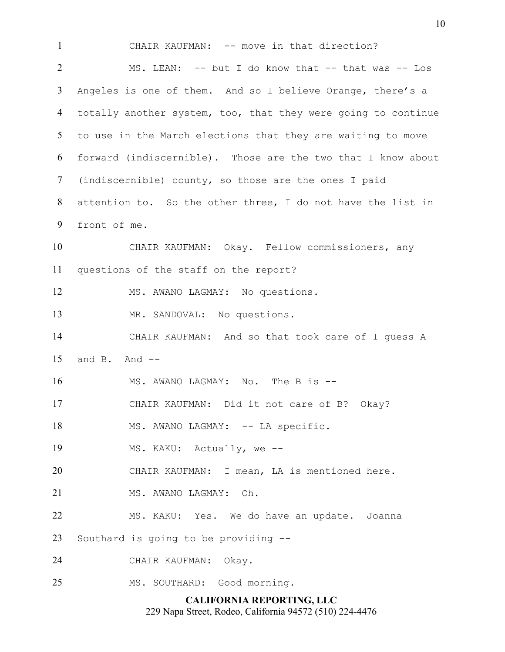**CALIFORNIA REPORTING, LLC** CHAIR KAUFMAN: -- move in that direction? 2 MS. LEAN: -- but I do know that -- that was -- Los Angeles is one of them. And so I believe Orange, there's a totally another system, too, that they were going to continue to use in the March elections that they are waiting to move forward (indiscernible). Those are the two that I know about (indiscernible) county, so those are the ones I paid attention to. So the other three, I do not have the list in front of me. CHAIR KAUFMAN: Okay. Fellow commissioners, any questions of the staff on the report? MS. AWANO LAGMAY: No questions. MR. SANDOVAL: No questions. CHAIR KAUFMAN: And so that took care of I guess A and B. And -- 16 MS. AWANO LAGMAY: No. The B is --CHAIR KAUFMAN: Did it not care of B? Okay? 18 MS. AWANO LAGMAY: -- LA specific. 19 MS. KAKU: Actually, we --CHAIR KAUFMAN: I mean, LA is mentioned here. 21 MS. AWANO LAGMAY: Oh. MS. KAKU: Yes. We do have an update. Joanna Southard is going to be providing -- CHAIR KAUFMAN: Okay. MS. SOUTHARD: Good morning.

229 Napa Street, Rodeo, California 94572 (510) 224-4476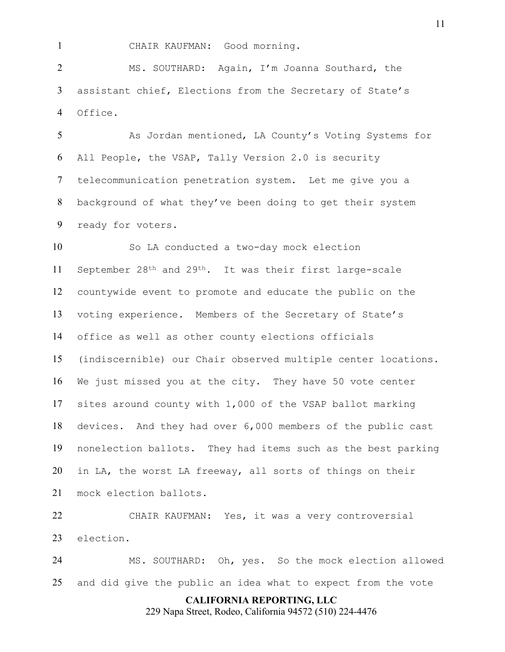CHAIR KAUFMAN: Good morning.

MS. SOUTHARD: Again, I'm Joanna Southard, the assistant chief, Elections from the Secretary of State's Office.

As Jordan mentioned, LA County's Voting Systems for All People, the VSAP, Tally Version 2.0 is security telecommunication penetration system. Let me give you a background of what they've been doing to get their system ready for voters.

So LA conducted a two-day mock election September 28th and 29th. It was their first large-scale countywide event to promote and educate the public on the voting experience. Members of the Secretary of State's office as well as other county elections officials (indiscernible) our Chair observed multiple center locations. We just missed you at the city. They have 50 vote center sites around county with 1,000 of the VSAP ballot marking devices. And they had over 6,000 members of the public cast nonelection ballots. They had items such as the best parking in LA, the worst LA freeway, all sorts of things on their mock election ballots.

CHAIR KAUFMAN: Yes, it was a very controversial election.

MS. SOUTHARD: Oh, yes. So the mock election allowed and did give the public an idea what to expect from the vote

**CALIFORNIA REPORTING, LLC**

229 Napa Street, Rodeo, California 94572 (510) 224-4476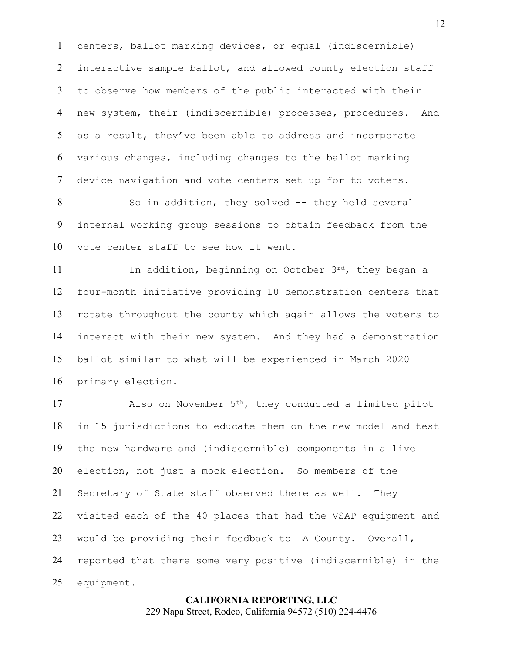centers, ballot marking devices, or equal (indiscernible) 2 interactive sample ballot, and allowed county election staff to observe how members of the public interacted with their new system, their (indiscernible) processes, procedures. And as a result, they've been able to address and incorporate various changes, including changes to the ballot marking device navigation and vote centers set up for to voters.

8 So in addition, they solved -- they held several internal working group sessions to obtain feedback from the vote center staff to see how it went.

11 In addition, beginning on October 3rd, they began a four-month initiative providing 10 demonstration centers that rotate throughout the county which again allows the voters to interact with their new system. And they had a demonstration ballot similar to what will be experienced in March 2020 primary election.

17 Also on November 5<sup>th</sup>, they conducted a limited pilot in 15 jurisdictions to educate them on the new model and test the new hardware and (indiscernible) components in a live election, not just a mock election. So members of the Secretary of State staff observed there as well. They visited each of the 40 places that had the VSAP equipment and would be providing their feedback to LA County. Overall, reported that there some very positive (indiscernible) in the equipment.

# **CALIFORNIA REPORTING, LLC**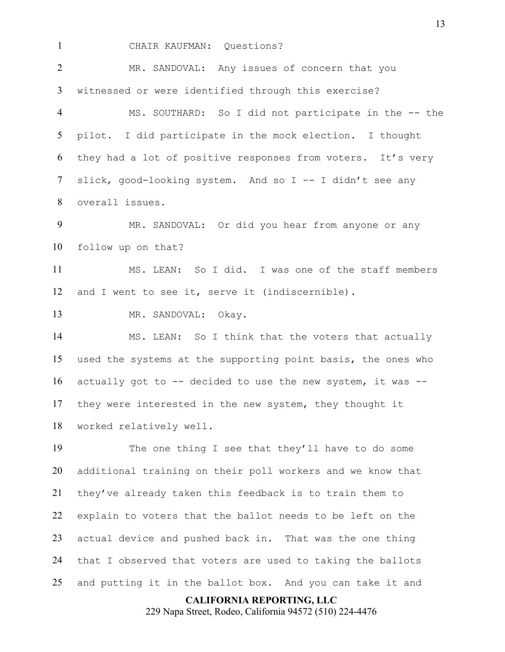CHAIR KAUFMAN: Questions? MR. SANDOVAL: Any issues of concern that you witnessed or were identified through this exercise? MS. SOUTHARD: So I did not participate in the -- the pilot. I did participate in the mock election. I thought they had a lot of positive responses from voters. It's very slick, good-looking system. And so I -- I didn't see any overall issues. MR. SANDOVAL: Or did you hear from anyone or any follow up on that? MS. LEAN: So I did. I was one of the staff members and I went to see it, serve it (indiscernible). MR. SANDOVAL: Okay. MS. LEAN: So I think that the voters that actually used the systems at the supporting point basis, the ones who actually got to -- decided to use the new system, it was -- they were interested in the new system, they thought it worked relatively well. The one thing I see that they'll have to do some additional training on their poll workers and we know that they've already taken this feedback is to train them to explain to voters that the ballot needs to be left on the actual device and pushed back in. That was the one thing that I observed that voters are used to taking the ballots

and putting it in the ballot box. And you can take it and

**CALIFORNIA REPORTING, LLC**

229 Napa Street, Rodeo, California 94572 (510) 224-4476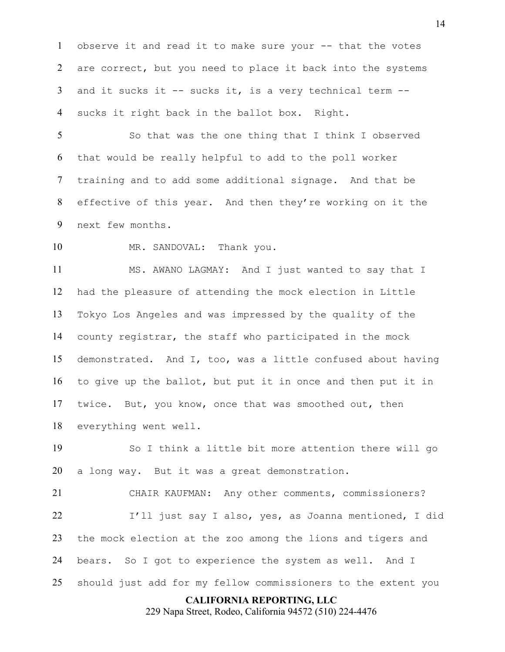observe it and read it to make sure your -- that the votes 2 are correct, but you need to place it back into the systems and it sucks it -- sucks it, is a very technical term -- sucks it right back in the ballot box. Right.

So that was the one thing that I think I observed that would be really helpful to add to the poll worker training and to add some additional signage. And that be effective of this year. And then they're working on it the next few months.

10 MR. SANDOVAL: Thank you.

MS. AWANO LAGMAY: And I just wanted to say that I had the pleasure of attending the mock election in Little Tokyo Los Angeles and was impressed by the quality of the county registrar, the staff who participated in the mock demonstrated. And I, too, was a little confused about having to give up the ballot, but put it in once and then put it in twice. But, you know, once that was smoothed out, then everything went well.

So I think a little bit more attention there will go a long way. But it was a great demonstration.

CHAIR KAUFMAN: Any other comments, commissioners? I'll just say I also, yes, as Joanna mentioned, I did the mock election at the zoo among the lions and tigers and bears. So I got to experience the system as well. And I should just add for my fellow commissioners to the extent you

## **CALIFORNIA REPORTING, LLC**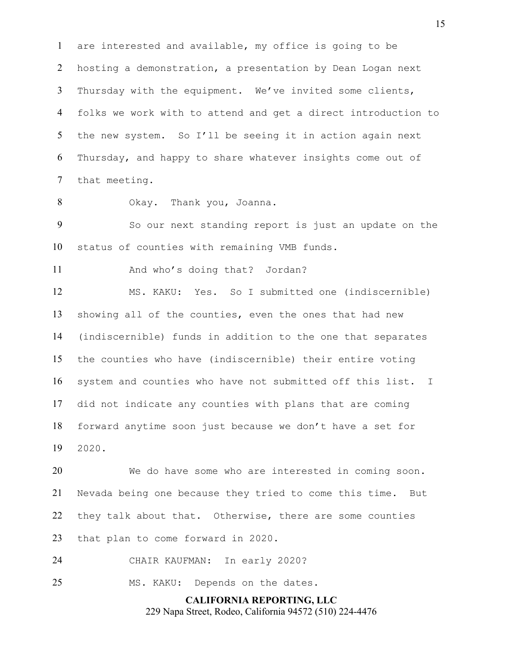are interested and available, my office is going to be hosting a demonstration, a presentation by Dean Logan next Thursday with the equipment. We've invited some clients, folks we work with to attend and get a direct introduction to the new system. So I'll be seeing it in action again next Thursday, and happy to share whatever insights come out of that meeting.

Okay. Thank you, Joanna.

So our next standing report is just an update on the status of counties with remaining VMB funds.

And who's doing that? Jordan?

MS. KAKU: Yes. So I submitted one (indiscernible) showing all of the counties, even the ones that had new (indiscernible) funds in addition to the one that separates the counties who have (indiscernible) their entire voting system and counties who have not submitted off this list. I did not indicate any counties with plans that are coming forward anytime soon just because we don't have a set for 2020.

We do have some who are interested in coming soon. Nevada being one because they tried to come this time. But they talk about that. Otherwise, there are some counties that plan to come forward in 2020.

CHAIR KAUFMAN: In early 2020?

25 MS. KAKU: Depends on the dates.

**CALIFORNIA REPORTING, LLC** 229 Napa Street, Rodeo, California 94572 (510) 224-4476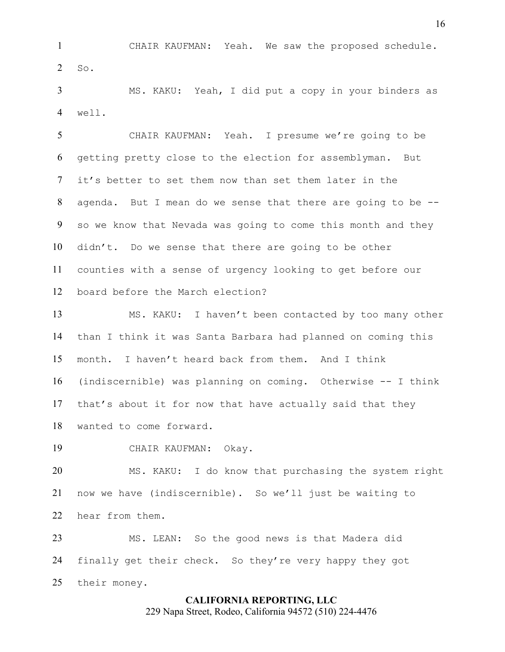CHAIR KAUFMAN: Yeah. We saw the proposed schedule. So.

MS. KAKU: Yeah, I did put a copy in your binders as well.

CHAIR KAUFMAN: Yeah. I presume we're going to be getting pretty close to the election for assemblyman. But it's better to set them now than set them later in the agenda. But I mean do we sense that there are going to be -- so we know that Nevada was going to come this month and they didn't. Do we sense that there are going to be other counties with a sense of urgency looking to get before our board before the March election?

MS. KAKU: I haven't been contacted by too many other than I think it was Santa Barbara had planned on coming this month. I haven't heard back from them. And I think (indiscernible) was planning on coming. Otherwise -- I think that's about it for now that have actually said that they wanted to come forward.

CHAIR KAUFMAN: Okay.

MS. KAKU: I do know that purchasing the system right now we have (indiscernible). So we'll just be waiting to hear from them.

MS. LEAN: So the good news is that Madera did finally get their check. So they're very happy they got their money.

## **CALIFORNIA REPORTING, LLC** 229 Napa Street, Rodeo, California 94572 (510) 224-4476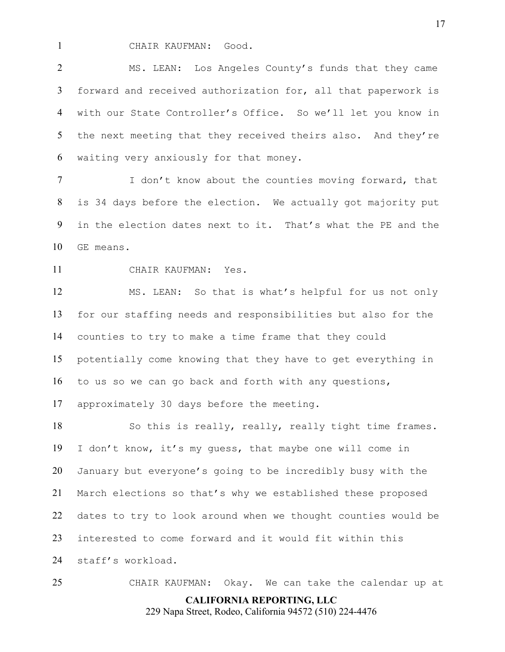CHAIR KAUFMAN: Good.

MS. LEAN: Los Angeles County's funds that they came forward and received authorization for, all that paperwork is with our State Controller's Office. So we'll let you know in 5 the next meeting that they received theirs also. And they're waiting very anxiously for that money.

I don't know about the counties moving forward, that is 34 days before the election. We actually got majority put in the election dates next to it. That's what the PE and the GE means.

CHAIR KAUFMAN: Yes.

MS. LEAN: So that is what's helpful for us not only for our staffing needs and responsibilities but also for the counties to try to make a time frame that they could potentially come knowing that they have to get everything in to us so we can go back and forth with any questions, approximately 30 days before the meeting.

So this is really, really, really tight time frames. I don't know, it's my guess, that maybe one will come in January but everyone's going to be incredibly busy with the March elections so that's why we established these proposed dates to try to look around when we thought counties would be interested to come forward and it would fit within this staff's workload.

**CALIFORNIA REPORTING, LLC** CHAIR KAUFMAN: Okay. We can take the calendar up at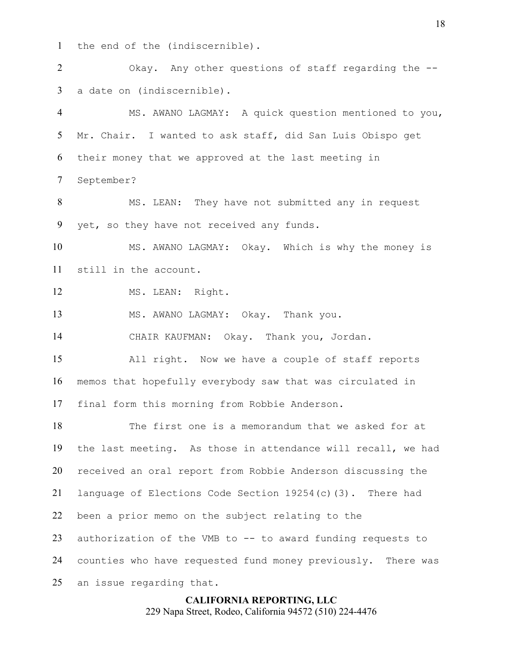the end of the (indiscernible).

Okay. Any other questions of staff regarding the -- a date on (indiscernible).

MS. AWANO LAGMAY: A quick question mentioned to you, Mr. Chair. I wanted to ask staff, did San Luis Obispo get their money that we approved at the last meeting in September?

8 MS. LEAN: They have not submitted any in request yet, so they have not received any funds.

MS. AWANO LAGMAY: Okay. Which is why the money is still in the account.

12 MS. LEAN: Right.

MS. AWANO LAGMAY: Okay. Thank you.

CHAIR KAUFMAN: Okay. Thank you, Jordan.

All right. Now we have a couple of staff reports memos that hopefully everybody saw that was circulated in final form this morning from Robbie Anderson.

The first one is a memorandum that we asked for at the last meeting. As those in attendance will recall, we had received an oral report from Robbie Anderson discussing the language of Elections Code Section 19254(c)(3). There had been a prior memo on the subject relating to the authorization of the VMB to -- to award funding requests to counties who have requested fund money previously. There was an issue regarding that.

## **CALIFORNIA REPORTING, LLC** 229 Napa Street, Rodeo, California 94572 (510) 224-4476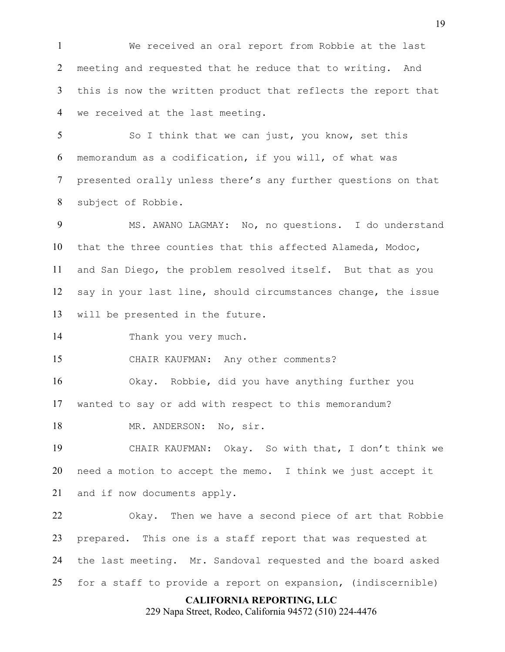We received an oral report from Robbie at the last meeting and requested that he reduce that to writing. And this is now the written product that reflects the report that we received at the last meeting.

5 So I think that we can just, you know, set this memorandum as a codification, if you will, of what was presented orally unless there's any further questions on that subject of Robbie.

MS. AWANO LAGMAY: No, no questions. I do understand that the three counties that this affected Alameda, Modoc, and San Diego, the problem resolved itself. But that as you say in your last line, should circumstances change, the issue will be presented in the future.

Thank you very much.

CHAIR KAUFMAN: Any other comments?

Okay. Robbie, did you have anything further you wanted to say or add with respect to this memorandum?

18 MR. ANDERSON: No, sir.

CHAIR KAUFMAN: Okay. So with that, I don't think we need a motion to accept the memo. I think we just accept it and if now documents apply.

Okay. Then we have a second piece of art that Robbie prepared. This one is a staff report that was requested at the last meeting. Mr. Sandoval requested and the board asked for a staff to provide a report on expansion, (indiscernible)

## **CALIFORNIA REPORTING, LLC**

229 Napa Street, Rodeo, California 94572 (510) 224-4476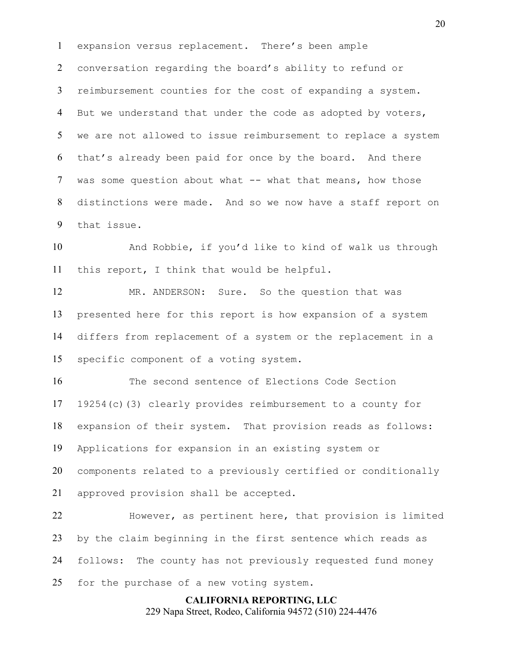expansion versus replacement. There's been ample conversation regarding the board's ability to refund or reimbursement counties for the cost of expanding a system. 4 But we understand that under the code as adopted by voters, we are not allowed to issue reimbursement to replace a system that's already been paid for once by the board. And there was some question about what -- what that means, how those distinctions were made. And so we now have a staff report on that issue.

And Robbie, if you'd like to kind of walk us through this report, I think that would be helpful.

MR. ANDERSON: Sure. So the question that was presented here for this report is how expansion of a system differs from replacement of a system or the replacement in a specific component of a voting system.

The second sentence of Elections Code Section 19254(c)(3) clearly provides reimbursement to a county for expansion of their system. That provision reads as follows: Applications for expansion in an existing system or components related to a previously certified or conditionally approved provision shall be accepted.

However, as pertinent here, that provision is limited by the claim beginning in the first sentence which reads as follows: The county has not previously requested fund money 25 for the purchase of a new voting system.

# **CALIFORNIA REPORTING, LLC**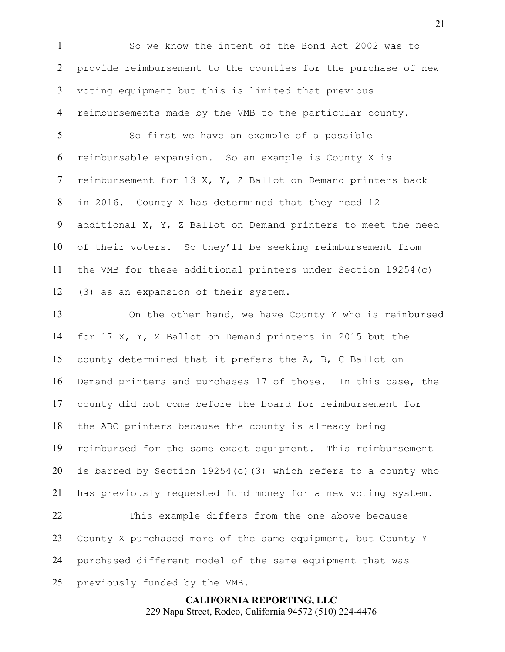So we know the intent of the Bond Act 2002 was to provide reimbursement to the counties for the purchase of new voting equipment but this is limited that previous reimbursements made by the VMB to the particular county.

So first we have an example of a possible reimbursable expansion. So an example is County X is reimbursement for 13 X, Y, Z Ballot on Demand printers back in 2016. County X has determined that they need 12 additional X, Y, Z Ballot on Demand printers to meet the need of their voters. So they'll be seeking reimbursement from the VMB for these additional printers under Section 19254(c) (3) as an expansion of their system.

On the other hand, we have County Y who is reimbursed for 17 X, Y, Z Ballot on Demand printers in 2015 but the county determined that it prefers the A, B, C Ballot on Demand printers and purchases 17 of those. In this case, the county did not come before the board for reimbursement for the ABC printers because the county is already being reimbursed for the same exact equipment. This reimbursement is barred by Section 19254(c)(3) which refers to a county who has previously requested fund money for a new voting system. This example differs from the one above because County X purchased more of the same equipment, but County Y

purchased different model of the same equipment that was

previously funded by the VMB.

**CALIFORNIA REPORTING, LLC** 229 Napa Street, Rodeo, California 94572 (510) 224-4476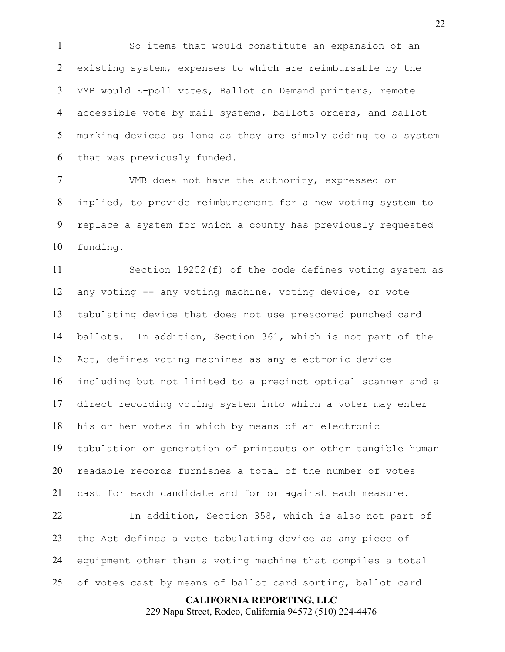So items that would constitute an expansion of an existing system, expenses to which are reimbursable by the VMB would E-poll votes, Ballot on Demand printers, remote accessible vote by mail systems, ballots orders, and ballot marking devices as long as they are simply adding to a system that was previously funded.

VMB does not have the authority, expressed or implied, to provide reimbursement for a new voting system to replace a system for which a county has previously requested funding.

Section 19252(f) of the code defines voting system as any voting -- any voting machine, voting device, or vote tabulating device that does not use prescored punched card ballots. In addition, Section 361, which is not part of the Act, defines voting machines as any electronic device including but not limited to a precinct optical scanner and a direct recording voting system into which a voter may enter his or her votes in which by means of an electronic tabulation or generation of printouts or other tangible human readable records furnishes a total of the number of votes cast for each candidate and for or against each measure. In addition, Section 358, which is also not part of the Act defines a vote tabulating device as any piece of equipment other than a voting machine that compiles a total

of votes cast by means of ballot card sorting, ballot card

**CALIFORNIA REPORTING, LLC**

229 Napa Street, Rodeo, California 94572 (510) 224-4476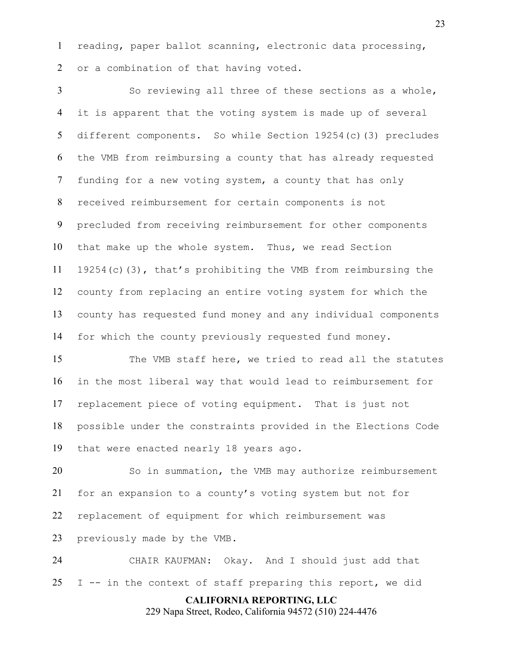reading, paper ballot scanning, electronic data processing, or a combination of that having voted.

So reviewing all three of these sections as a whole, it is apparent that the voting system is made up of several different components. So while Section 19254(c)(3) precludes the VMB from reimbursing a county that has already requested funding for a new voting system, a county that has only received reimbursement for certain components is not precluded from receiving reimbursement for other components that make up the whole system. Thus, we read Section 19254(c)(3), that's prohibiting the VMB from reimbursing the county from replacing an entire voting system for which the county has requested fund money and any individual components for which the county previously requested fund money.

The VMB staff here, we tried to read all the statutes in the most liberal way that would lead to reimbursement for replacement piece of voting equipment. That is just not possible under the constraints provided in the Elections Code that were enacted nearly 18 years ago.

So in summation, the VMB may authorize reimbursement for an expansion to a county's voting system but not for replacement of equipment for which reimbursement was previously made by the VMB.

CHAIR KAUFMAN: Okay. And I should just add that 25 I  $-$  in the context of staff preparing this report, we did

**CALIFORNIA REPORTING, LLC**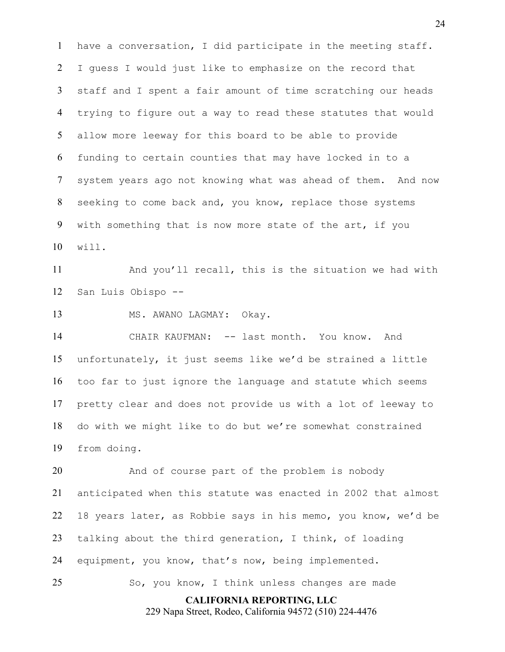have a conversation, I did participate in the meeting staff. I guess I would just like to emphasize on the record that staff and I spent a fair amount of time scratching our heads trying to figure out a way to read these statutes that would allow more leeway for this board to be able to provide funding to certain counties that may have locked in to a system years ago not knowing what was ahead of them. And now seeking to come back and, you know, replace those systems with something that is now more state of the art, if you will.

And you'll recall, this is the situation we had with San Luis Obispo --

13 MS. AWANO LAGMAY: Okay.

CHAIR KAUFMAN: -- last month. You know. And unfortunately, it just seems like we'd be strained a little too far to just ignore the language and statute which seems pretty clear and does not provide us with a lot of leeway to do with we might like to do but we're somewhat constrained from doing.

And of course part of the problem is nobody anticipated when this statute was enacted in 2002 that almost 18 years later, as Robbie says in his memo, you know, we'd be talking about the third generation, I think, of loading equipment, you know, that's now, being implemented.

So, you know, I think unless changes are made

**CALIFORNIA REPORTING, LLC**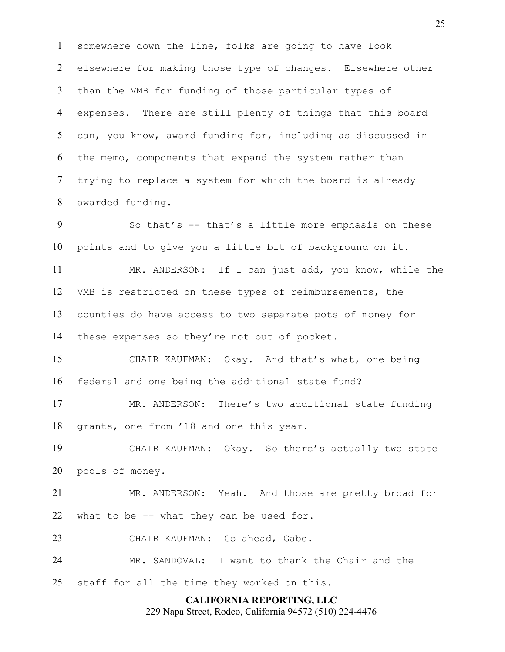somewhere down the line, folks are going to have look elsewhere for making those type of changes. Elsewhere other than the VMB for funding of those particular types of expenses. There are still plenty of things that this board can, you know, award funding for, including as discussed in the memo, components that expand the system rather than trying to replace a system for which the board is already awarded funding.

So that's -- that's a little more emphasis on these points and to give you a little bit of background on it.

MR. ANDERSON: If I can just add, you know, while the VMB is restricted on these types of reimbursements, the counties do have access to two separate pots of money for these expenses so they're not out of pocket.

CHAIR KAUFMAN: Okay. And that's what, one being federal and one being the additional state fund?

MR. ANDERSON: There's two additional state funding grants, one from '18 and one this year.

CHAIR KAUFMAN: Okay. So there's actually two state pools of money.

MR. ANDERSON: Yeah. And those are pretty broad for what to be -- what they can be used for.

CHAIR KAUFMAN: Go ahead, Gabe.

MR. SANDOVAL: I want to thank the Chair and the

staff for all the time they worked on this.

## **CALIFORNIA REPORTING, LLC**

229 Napa Street, Rodeo, California 94572 (510) 224-4476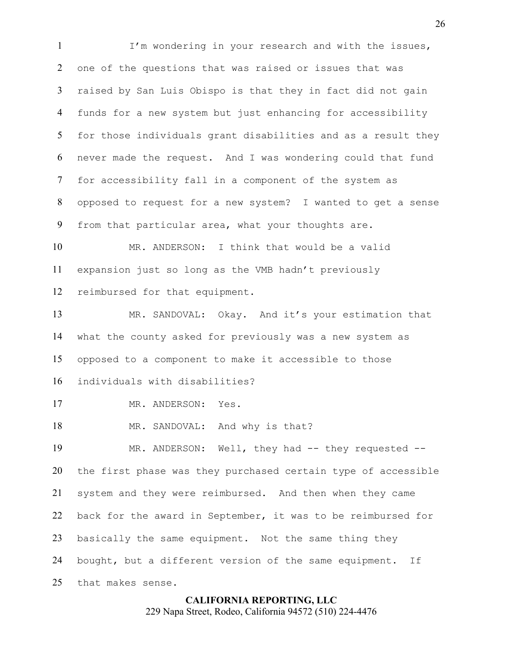I'm wondering in your research and with the issues, one of the questions that was raised or issues that was raised by San Luis Obispo is that they in fact did not gain funds for a new system but just enhancing for accessibility for those individuals grant disabilities and as a result they never made the request. And I was wondering could that fund for accessibility fall in a component of the system as opposed to request for a new system? I wanted to get a sense from that particular area, what your thoughts are. MR. ANDERSON: I think that would be a valid expansion just so long as the VMB hadn't previously reimbursed for that equipment. MR. SANDOVAL: Okay. And it's your estimation that what the county asked for previously was a new system as opposed to a component to make it accessible to those individuals with disabilities?

17 MR. ANDERSON: Yes.

18 MR. SANDOVAL: And why is that?

19 MR. ANDERSON: Well, they had -- they requested --the first phase was they purchased certain type of accessible system and they were reimbursed. And then when they came back for the award in September, it was to be reimbursed for basically the same equipment. Not the same thing they bought, but a different version of the same equipment. If that makes sense.

> **CALIFORNIA REPORTING, LLC** 229 Napa Street, Rodeo, California 94572 (510) 224-4476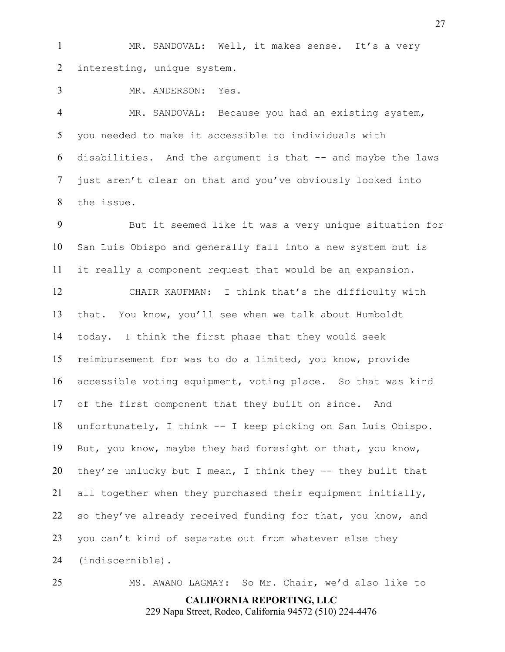1 MR. SANDOVAL: Well, it makes sense. It's a very interesting, unique system.

MR. ANDERSON: Yes.

MR. SANDOVAL: Because you had an existing system, you needed to make it accessible to individuals with disabilities. And the argument is that -- and maybe the laws just aren't clear on that and you've obviously looked into the issue.

But it seemed like it was a very unique situation for San Luis Obispo and generally fall into a new system but is it really a component request that would be an expansion.

CHAIR KAUFMAN: I think that's the difficulty with that. You know, you'll see when we talk about Humboldt today. I think the first phase that they would seek reimbursement for was to do a limited, you know, provide accessible voting equipment, voting place. So that was kind of the first component that they built on since. And unfortunately, I think -- I keep picking on San Luis Obispo. But, you know, maybe they had foresight or that, you know, they're unlucky but I mean, I think they -- they built that all together when they purchased their equipment initially, 22 so they've already received funding for that, you know, and you can't kind of separate out from whatever else they (indiscernible).

**CALIFORNIA REPORTING, LLC** MS. AWANO LAGMAY: So Mr. Chair, we'd also like to

229 Napa Street, Rodeo, California 94572 (510) 224-4476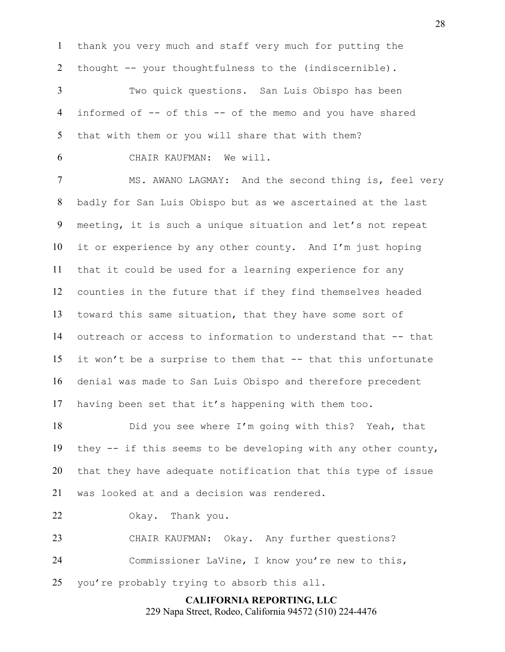thank you very much and staff very much for putting the thought -- your thoughtfulness to the (indiscernible).

Two quick questions. San Luis Obispo has been informed of -- of this -- of the memo and you have shared that with them or you will share that with them?

CHAIR KAUFMAN: We will.

MS. AWANO LAGMAY: And the second thing is, feel very badly for San Luis Obispo but as we ascertained at the last meeting, it is such a unique situation and let's not repeat it or experience by any other county. And I'm just hoping that it could be used for a learning experience for any counties in the future that if they find themselves headed toward this same situation, that they have some sort of outreach or access to information to understand that -- that it won't be a surprise to them that -- that this unfortunate denial was made to San Luis Obispo and therefore precedent having been set that it's happening with them too.

Did you see where I'm going with this? Yeah, that they -- if this seems to be developing with any other county, that they have adequate notification that this type of issue was looked at and a decision was rendered.

Okay. Thank you.

CHAIR KAUFMAN: Okay. Any further questions? Commissioner LaVine, I know you're new to this,

you're probably trying to absorb this all.

**CALIFORNIA REPORTING, LLC** 229 Napa Street, Rodeo, California 94572 (510) 224-4476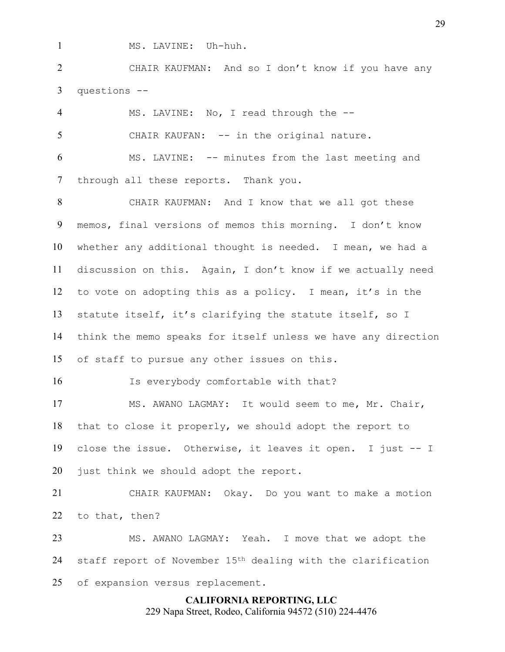MS. LAVINE: Uh-huh.

CHAIR KAUFMAN: And so I don't know if you have any questions --

MS. LAVINE: No, I read through the -- 5 CHAIR KAUFAN: -- in the original nature. MS. LAVINE: -- minutes from the last meeting and through all these reports. Thank you.

CHAIR KAUFMAN: And I know that we all got these memos, final versions of memos this morning. I don't know whether any additional thought is needed. I mean, we had a discussion on this. Again, I don't know if we actually need to vote on adopting this as a policy. I mean, it's in the statute itself, it's clarifying the statute itself, so I think the memo speaks for itself unless we have any direction of staff to pursue any other issues on this.

16 Is everybody comfortable with that?

MS. AWANO LAGMAY: It would seem to me, Mr. Chair, that to close it properly, we should adopt the report to close the issue. Otherwise, it leaves it open. I just -- I just think we should adopt the report.

CHAIR KAUFMAN: Okay. Do you want to make a motion to that, then?

MS. AWANO LAGMAY: Yeah. I move that we adopt the 24 staff report of November  $15<sup>th</sup>$  dealing with the clarification of expansion versus replacement.

> **CALIFORNIA REPORTING, LLC** 229 Napa Street, Rodeo, California 94572 (510) 224-4476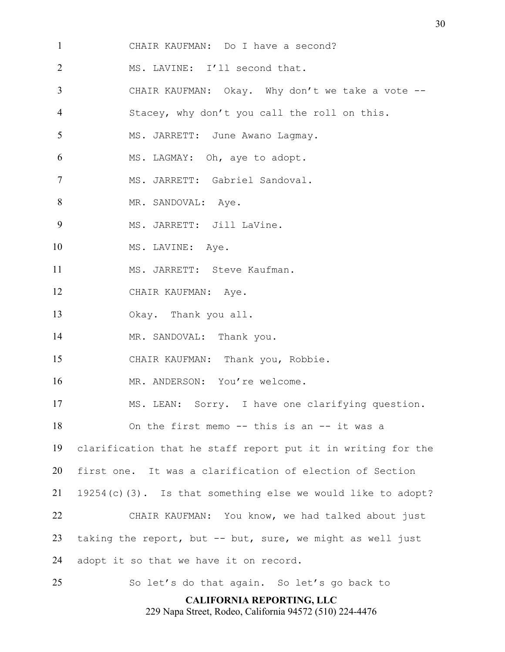- CHAIR KAUFMAN: Do I have a second?
- 2 MS. LAVINE: I'll second that.
- CHAIR KAUFMAN: Okay. Why don't we take a vote --
- Stacey, why don't you call the roll on this.
- 5 MS. JARRETT: June Awano Lagmay.
- MS. LAGMAY: Oh, aye to adopt.
- MS. JARRETT: Gabriel Sandoval.
- 8 MR. SANDOVAL: Aye.

9 MS. JARRETT: Jill LaVine.

- 10 MS. LAVINE: Aye.
- 11 MS. JARRETT: Steve Kaufman.
- CHAIR KAUFMAN: Aye.
- Okay. Thank you all.
- 14 MR. SANDOVAL: Thank you.
- CHAIR KAUFMAN: Thank you, Robbie.
- 16 MR. ANDERSON: You're welcome.
- MS. LEAN: Sorry. I have one clarifying question.
- 18 On the first memo -- this is an -- it was a
- clarification that he staff report put it in writing for the
- first one. It was a clarification of election of Section
- 19254(c)(3). Is that something else we would like to adopt?
- CHAIR KAUFMAN: You know, we had talked about just taking the report, but -- but, sure, we might as well just
- adopt it so that we have it on record.
- So let's do that again. So let's go back to

**CALIFORNIA REPORTING, LLC**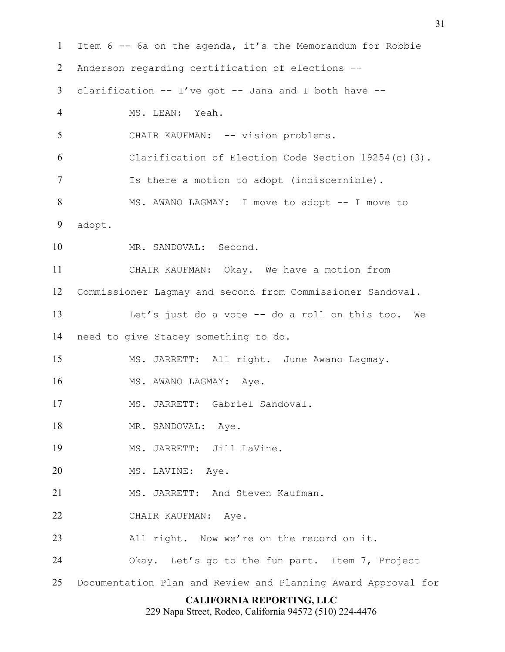**CALIFORNIA REPORTING, LLC** Item 6 -- 6a on the agenda, it's the Memorandum for Robbie Anderson regarding certification of elections -- clarification -- I've got -- Jana and I both have -- MS. LEAN: Yeah. 5 CHAIR KAUFMAN: -- vision problems. Clarification of Election Code Section 19254(c)(3). Is there a motion to adopt (indiscernible). 8 MS. AWANO LAGMAY: I move to adopt -- I move to adopt. MR. SANDOVAL: Second. CHAIR KAUFMAN: Okay. We have a motion from Commissioner Lagmay and second from Commissioner Sandoval. Let's just do a vote -- do a roll on this too. We need to give Stacey something to do. MS. JARRETT: All right. June Awano Lagmay. 16 MS. AWANO LAGMAY: Aye. MS. JARRETT: Gabriel Sandoval. 18 MR. SANDOVAL: Aye. MS. JARRETT: Jill LaVine. 20 MS. LAVINE: Aye. 21 MS. JARRETT: And Steven Kaufman. CHAIR KAUFMAN: Aye. All right. Now we're on the record on it. Okay. Let's go to the fun part. Item 7, Project Documentation Plan and Review and Planning Award Approval for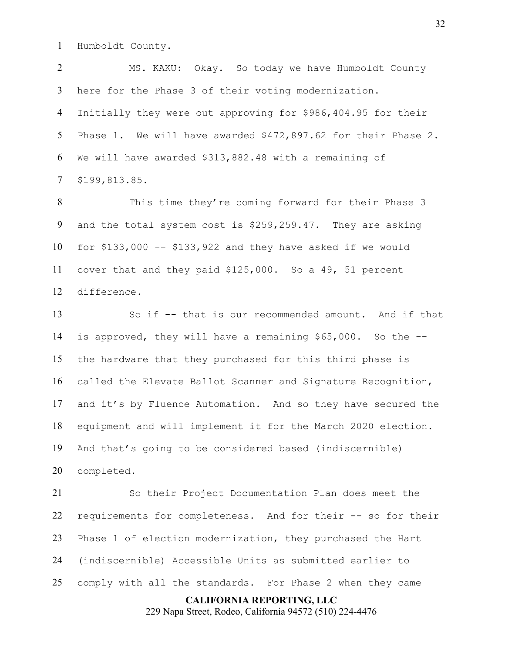Humboldt County.

MS. KAKU: Okay. So today we have Humboldt County here for the Phase 3 of their voting modernization. Initially they were out approving for \$986,404.95 for their Phase 1. We will have awarded \$472,897.62 for their Phase 2. We will have awarded \$313,882.48 with a remaining of \$199,813.85.

This time they're coming forward for their Phase 3 and the total system cost is \$259,259.47. They are asking for \$133,000 -- \$133,922 and they have asked if we would cover that and they paid \$125,000. So a 49, 51 percent difference.

So if -- that is our recommended amount. And if that is approved, they will have a remaining \$65,000. So the -- the hardware that they purchased for this third phase is called the Elevate Ballot Scanner and Signature Recognition, and it's by Fluence Automation. And so they have secured the equipment and will implement it for the March 2020 election. And that's going to be considered based (indiscernible) completed.

**CALIFORNIA REPORTING, LLC** So their Project Documentation Plan does meet the requirements for completeness. And for their -- so for their Phase 1 of election modernization, they purchased the Hart (indiscernible) Accessible Units as submitted earlier to comply with all the standards. For Phase 2 when they came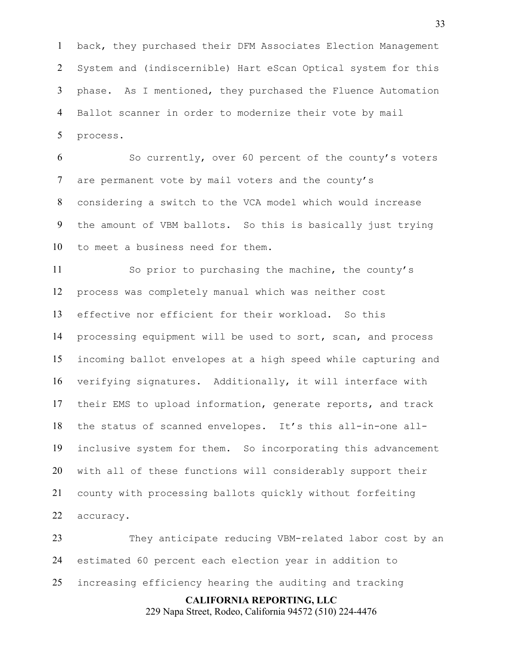back, they purchased their DFM Associates Election Management System and (indiscernible) Hart eScan Optical system for this phase. As I mentioned, they purchased the Fluence Automation Ballot scanner in order to modernize their vote by mail process.

So currently, over 60 percent of the county's voters are permanent vote by mail voters and the county's considering a switch to the VCA model which would increase the amount of VBM ballots. So this is basically just trying to meet a business need for them.

So prior to purchasing the machine, the county's process was completely manual which was neither cost effective nor efficient for their workload. So this processing equipment will be used to sort, scan, and process incoming ballot envelopes at a high speed while capturing and verifying signatures. Additionally, it will interface with their EMS to upload information, generate reports, and track the status of scanned envelopes. It's this all-in-one all-inclusive system for them. So incorporating this advancement with all of these functions will considerably support their county with processing ballots quickly without forfeiting accuracy.

**CALIFORNIA REPORTING, LLC** They anticipate reducing VBM-related labor cost by an estimated 60 percent each election year in addition to increasing efficiency hearing the auditing and tracking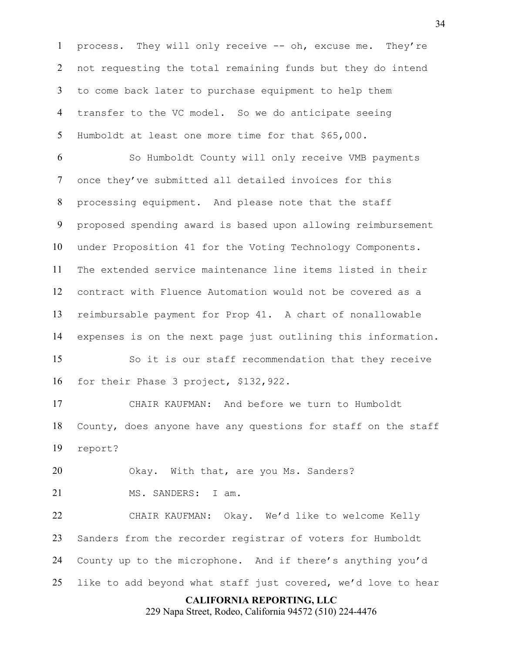process. They will only receive -- oh, excuse me. They're not requesting the total remaining funds but they do intend to come back later to purchase equipment to help them transfer to the VC model. So we do anticipate seeing Humboldt at least one more time for that \$65,000.

So Humboldt County will only receive VMB payments once they've submitted all detailed invoices for this processing equipment. And please note that the staff proposed spending award is based upon allowing reimbursement under Proposition 41 for the Voting Technology Components. The extended service maintenance line items listed in their contract with Fluence Automation would not be covered as a reimbursable payment for Prop 41. A chart of nonallowable expenses is on the next page just outlining this information.

So it is our staff recommendation that they receive for their Phase 3 project, \$132,922.

CHAIR KAUFMAN: And before we turn to Humboldt County, does anyone have any questions for staff on the staff report?

Okay. With that, are you Ms. Sanders?

21 MS. SANDERS: I am.

CHAIR KAUFMAN: Okay. We'd like to welcome Kelly Sanders from the recorder registrar of voters for Humboldt County up to the microphone. And if there's anything you'd like to add beyond what staff just covered, we'd love to hear

#### **CALIFORNIA REPORTING, LLC**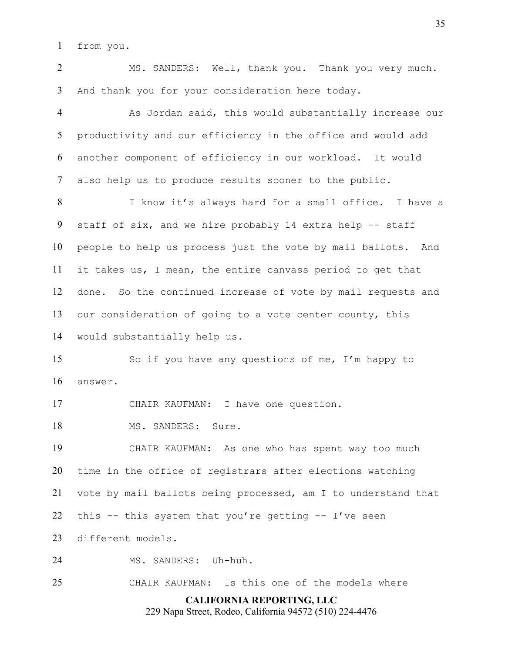from you.

MS. SANDERS: Well, thank you. Thank you very much. And thank you for your consideration here today.

As Jordan said, this would substantially increase our productivity and our efficiency in the office and would add another component of efficiency in our workload. It would also help us to produce results sooner to the public.

I know it's always hard for a small office. I have a staff of six, and we hire probably 14 extra help -- staff people to help us process just the vote by mail ballots. And it takes us, I mean, the entire canvass period to get that done. So the continued increase of vote by mail requests and our consideration of going to a vote center county, this would substantially help us.

So if you have any questions of me, I'm happy to answer.

CHAIR KAUFMAN: I have one question.

18 MS. SANDERS: Sure.

CHAIR KAUFMAN: As one who has spent way too much time in the office of registrars after elections watching vote by mail ballots being processed, am I to understand that this -- this system that you're getting -- I've seen different models.

MS. SANDERS: Uh-huh.

CHAIR KAUFMAN: Is this one of the models where

## **CALIFORNIA REPORTING, LLC**

229 Napa Street, Rodeo, California 94572 (510) 224-4476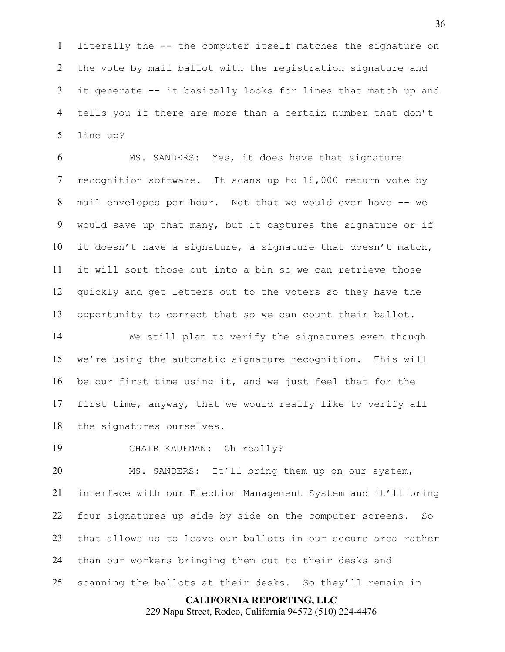literally the -- the computer itself matches the signature on the vote by mail ballot with the registration signature and it generate -- it basically looks for lines that match up and tells you if there are more than a certain number that don't line up?

MS. SANDERS: Yes, it does have that signature recognition software. It scans up to 18,000 return vote by mail envelopes per hour. Not that we would ever have -- we would save up that many, but it captures the signature or if it doesn't have a signature, a signature that doesn't match, it will sort those out into a bin so we can retrieve those quickly and get letters out to the voters so they have the opportunity to correct that so we can count their ballot.

We still plan to verify the signatures even though we're using the automatic signature recognition. This will be our first time using it, and we just feel that for the first time, anyway, that we would really like to verify all the signatures ourselves.

CHAIR KAUFMAN: Oh really?

20 MS. SANDERS: It'll bring them up on our system, interface with our Election Management System and it'll bring four signatures up side by side on the computer screens. So that allows us to leave our ballots in our secure area rather than our workers bringing them out to their desks and scanning the ballots at their desks. So they'll remain in

#### **CALIFORNIA REPORTING, LLC**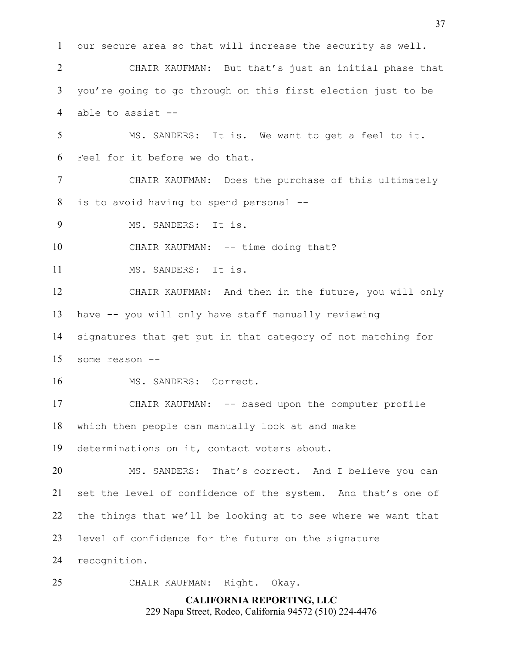our secure area so that will increase the security as well. CHAIR KAUFMAN: But that's just an initial phase that you're going to go through on this first election just to be able to assist -- MS. SANDERS: It is. We want to get a feel to it. Feel for it before we do that. CHAIR KAUFMAN: Does the purchase of this ultimately is to avoid having to spend personal -- MS. SANDERS: It is. 10 CHAIR KAUFMAN: -- time doing that? 11 MS. SANDERS: It is. CHAIR KAUFMAN: And then in the future, you will only have -- you will only have staff manually reviewing signatures that get put in that category of not matching for some reason -- 16 MS. SANDERS: Correct. CHAIR KAUFMAN: -- based upon the computer profile which then people can manually look at and make determinations on it, contact voters about. MS. SANDERS: That's correct. And I believe you can set the level of confidence of the system. And that's one of the things that we'll be looking at to see where we want that level of confidence for the future on the signature recognition. CHAIR KAUFMAN: Right. Okay.

> **CALIFORNIA REPORTING, LLC** 229 Napa Street, Rodeo, California 94572 (510) 224-4476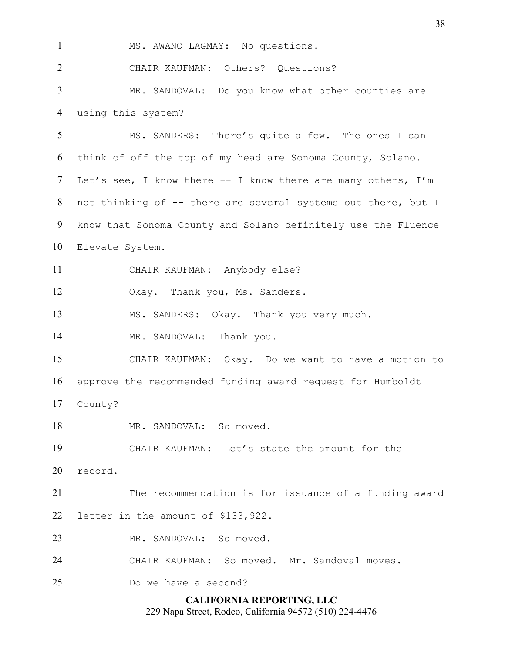**CALIFORNIA REPORTING, LLC** 1 MS. AWANO LAGMAY: No questions. CHAIR KAUFMAN: Others? Questions? MR. SANDOVAL: Do you know what other counties are using this system? MS. SANDERS: There's quite a few. The ones I can think of off the top of my head are Sonoma County, Solano. 7 Let's see, I know there -- I know there are many others, I'm not thinking of -- there are several systems out there, but I know that Sonoma County and Solano definitely use the Fluence Elevate System. CHAIR KAUFMAN: Anybody else? Okay. Thank you, Ms. Sanders. MS. SANDERS: Okay. Thank you very much. 14 MR. SANDOVAL: Thank you. CHAIR KAUFMAN: Okay. Do we want to have a motion to approve the recommended funding award request for Humboldt County? 18 MR. SANDOVAL: So moved. CHAIR KAUFMAN: Let's state the amount for the record. The recommendation is for issuance of a funding award letter in the amount of \$133,922. MR. SANDOVAL: So moved. CHAIR KAUFMAN: So moved. Mr. Sandoval moves. Do we have a second?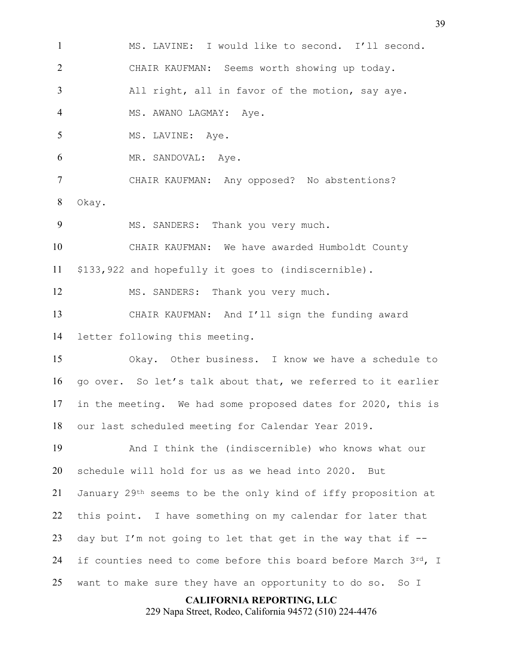MS. LAVINE: I would like to second. I'll second. CHAIR KAUFMAN: Seems worth showing up today. All right, all in favor of the motion, say aye. 4 MS. AWANO LAGMAY: Aye. 5 MS. LAVINE: Aye. MR. SANDOVAL: Aye. CHAIR KAUFMAN: Any opposed? No abstentions? Okay. 9 MS. SANDERS: Thank you very much. CHAIR KAUFMAN: We have awarded Humboldt County \$133,922 and hopefully it goes to (indiscernible). 12 MS. SANDERS: Thank you very much. CHAIR KAUFMAN: And I'll sign the funding award letter following this meeting. Okay. Other business. I know we have a schedule to go over. So let's talk about that, we referred to it earlier in the meeting. We had some proposed dates for 2020, this is our last scheduled meeting for Calendar Year 2019. And I think the (indiscernible) who knows what our schedule will hold for us as we head into 2020. But January 29th seems to be the only kind of iffy proposition at this point. I have something on my calendar for later that 23 day but I'm not going to let that get in the way that if  $-$ -24 if counties need to come before this board before March  $3^{rd}$ , I want to make sure they have an opportunity to do so. So I

**CALIFORNIA REPORTING, LLC**

229 Napa Street, Rodeo, California 94572 (510) 224-4476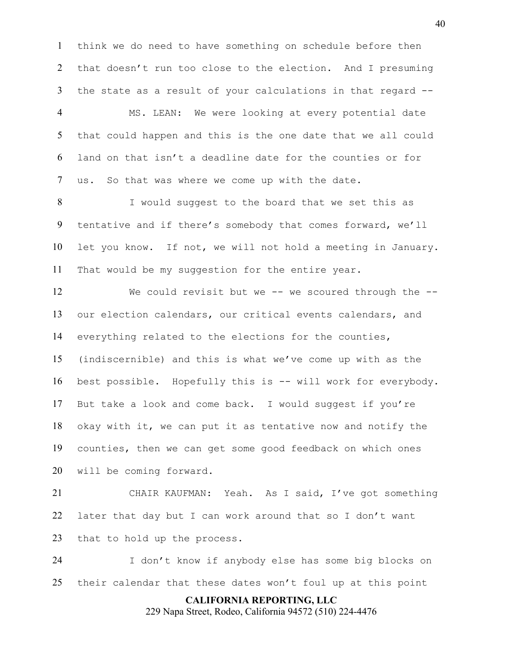think we do need to have something on schedule before then 2 that doesn't run too close to the election. And I presuming the state as a result of your calculations in that regard --

MS. LEAN: We were looking at every potential date that could happen and this is the one date that we all could land on that isn't a deadline date for the counties or for us. So that was where we come up with the date.

8 I would suggest to the board that we set this as tentative and if there's somebody that comes forward, we'll let you know. If not, we will not hold a meeting in January. That would be my suggestion for the entire year.

We could revisit but we -- we scoured through the -- our election calendars, our critical events calendars, and everything related to the elections for the counties, (indiscernible) and this is what we've come up with as the best possible. Hopefully this is -- will work for everybody. But take a look and come back. I would suggest if you're okay with it, we can put it as tentative now and notify the counties, then we can get some good feedback on which ones will be coming forward.

CHAIR KAUFMAN: Yeah. As I said, I've got something later that day but I can work around that so I don't want that to hold up the process.

I don't know if anybody else has some big blocks on their calendar that these dates won't foul up at this point

> **CALIFORNIA REPORTING, LLC** 229 Napa Street, Rodeo, California 94572 (510) 224-4476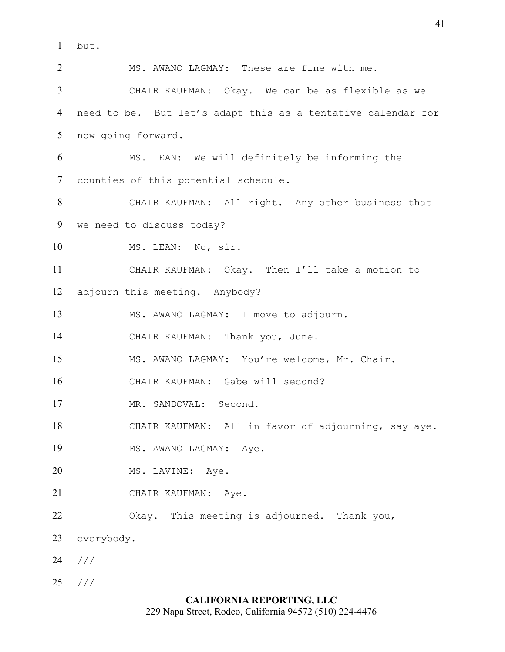but.

MS. AWANO LAGMAY: These are fine with me. CHAIR KAUFMAN: Okay. We can be as flexible as we need to be. But let's adapt this as a tentative calendar for now going forward. MS. LEAN: We will definitely be informing the counties of this potential schedule. CHAIR KAUFMAN: All right. Any other business that we need to discuss today? 10 MS. LEAN: No, sir. CHAIR KAUFMAN: Okay. Then I'll take a motion to adjourn this meeting. Anybody? MS. AWANO LAGMAY: I move to adjourn. CHAIR KAUFMAN: Thank you, June. MS. AWANO LAGMAY: You're welcome, Mr. Chair. CHAIR KAUFMAN: Gabe will second? 17 MR. SANDOVAL: Second. CHAIR KAUFMAN: All in favor of adjourning, say aye. 19 MS. AWANO LAGMAY: Aye. 20 MS. LAVINE: Aye. CHAIR KAUFMAN: Aye. Okay. This meeting is adjourned. Thank you, everybody. /// ///

## **CALIFORNIA REPORTING, LLC**